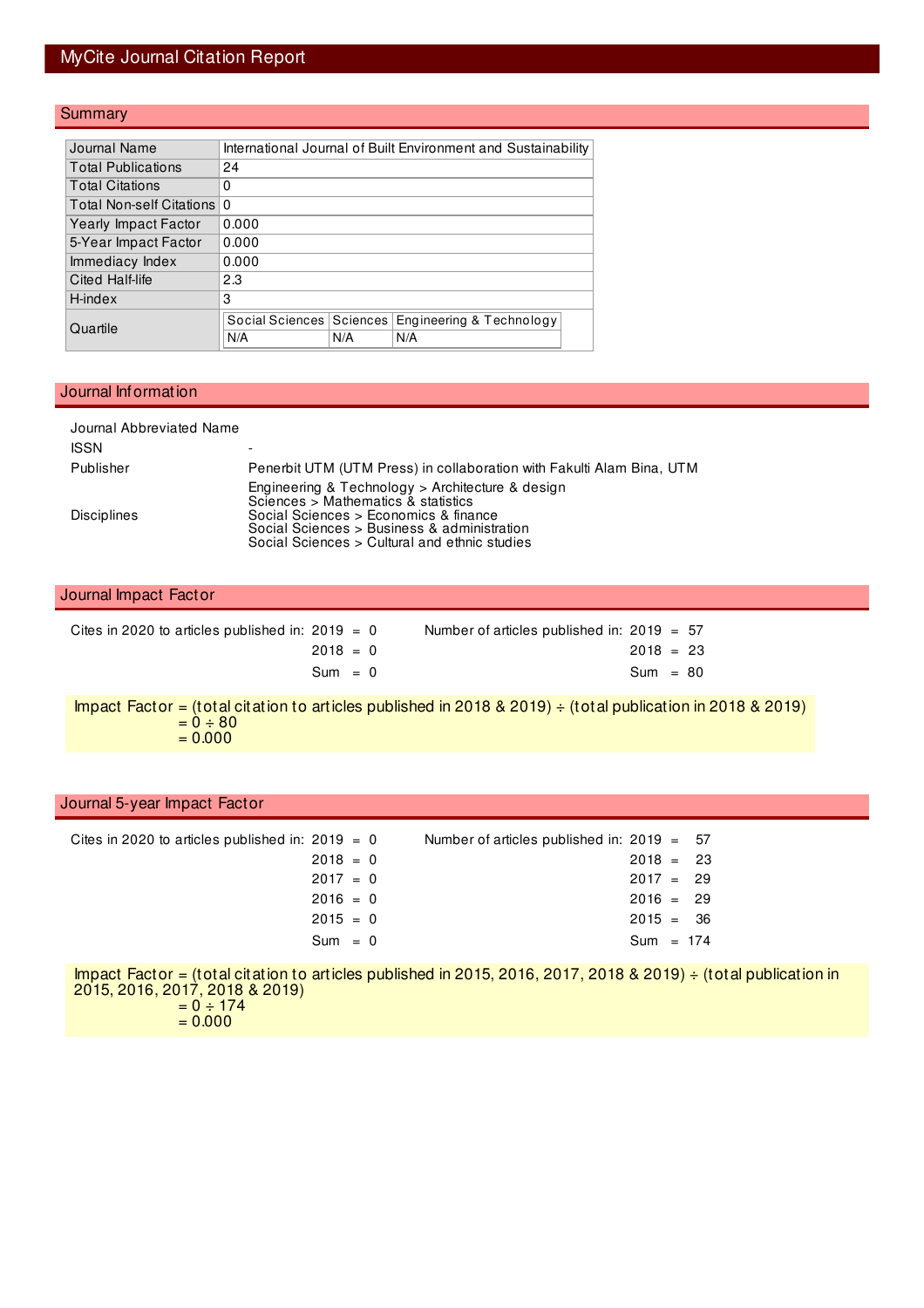# MyCite Journal Citation Report

#### **Summary**

|                        | Journal Name                | International Journal of Built Environment and Sustainability |     |                          |  |  |  |  |  |
|------------------------|-----------------------------|---------------------------------------------------------------|-----|--------------------------|--|--|--|--|--|
|                        | <b>Total Publications</b>   | 24                                                            |     |                          |  |  |  |  |  |
|                        | <b>Total Citations</b>      | 0                                                             |     |                          |  |  |  |  |  |
|                        | Total Non-self Citations    | $\Omega$                                                      |     |                          |  |  |  |  |  |
|                        | <b>Yearly Impact Factor</b> | 0.000                                                         |     |                          |  |  |  |  |  |
|                        | 5-Year Impact Factor        | 0.000                                                         |     |                          |  |  |  |  |  |
|                        | Immediacy Index             | 0.000                                                         |     |                          |  |  |  |  |  |
| 2.3<br>Cited Half-life |                             |                                                               |     |                          |  |  |  |  |  |
|                        | H-index                     | 3                                                             |     |                          |  |  |  |  |  |
|                        |                             | Social Sciences   Sciences                                    |     | Engineering & Technology |  |  |  |  |  |
|                        | Quartile                    | N/A                                                           | N/A | N/A                      |  |  |  |  |  |
|                        |                             |                                                               |     |                          |  |  |  |  |  |

#### Journal Information

 $= 0.000$ 

| Journal Abbreviated Name<br><b>ISSN</b>            |                                                                                                                                                                                                                                       |                                                                       |                           |  |  |  |
|----------------------------------------------------|---------------------------------------------------------------------------------------------------------------------------------------------------------------------------------------------------------------------------------------|-----------------------------------------------------------------------|---------------------------|--|--|--|
| Publisher                                          |                                                                                                                                                                                                                                       | Penerbit UTM (UTM Press) in collaboration with Fakulti Alam Bina, UTM |                           |  |  |  |
| <b>Disciplines</b>                                 | Engineering & Technology > Architecture & design<br>Sciences $>$ Mathematics $\&$ statistics<br>Social Sciences > Economics & finance<br>Social Sciences > Business & administration<br>Social Sciences > Cultural and ethnic studies |                                                                       |                           |  |  |  |
| Journal Impact Factor                              |                                                                                                                                                                                                                                       |                                                                       |                           |  |  |  |
| Cites in 2020 to articles published in: $2019 = 0$ | $2018 = 0$<br>$Sum = 0$                                                                                                                                                                                                               | Number of articles published in: $2019 = 57$                          | $2018 = 23$<br>$Sum = 80$ |  |  |  |

Impact Factor = (total citation to articles published in 2018 & 2019) ÷ (total publication in 2018 & 2019)  $= 0 \div 80$  $= 0.000$ 

| Journal 5-year Impact Factor                       |                                                                                                                      |                                                          |
|----------------------------------------------------|----------------------------------------------------------------------------------------------------------------------|----------------------------------------------------------|
| Cites in 2020 to articles published in: $2019 = 0$ | Number of articles published in: $2019 = 57$<br>$2018 = 0$<br>$2017 = 0$<br>$2016 = 0$<br>$2015 = 0$                 | $2018 = 23$<br>$2017 = 29$<br>$2016 = 29$<br>$2015 = 36$ |
|                                                    | $Sum = 0$                                                                                                            | $Sum = 174$                                              |
| 2015, 2016, 2017, 2018 & 2019)<br>$= 0 \div 174$   | Impact Factor = (total citation to articles published in 2015, 2016, 2017, 2018 & 2019) $\div$ (total publication in |                                                          |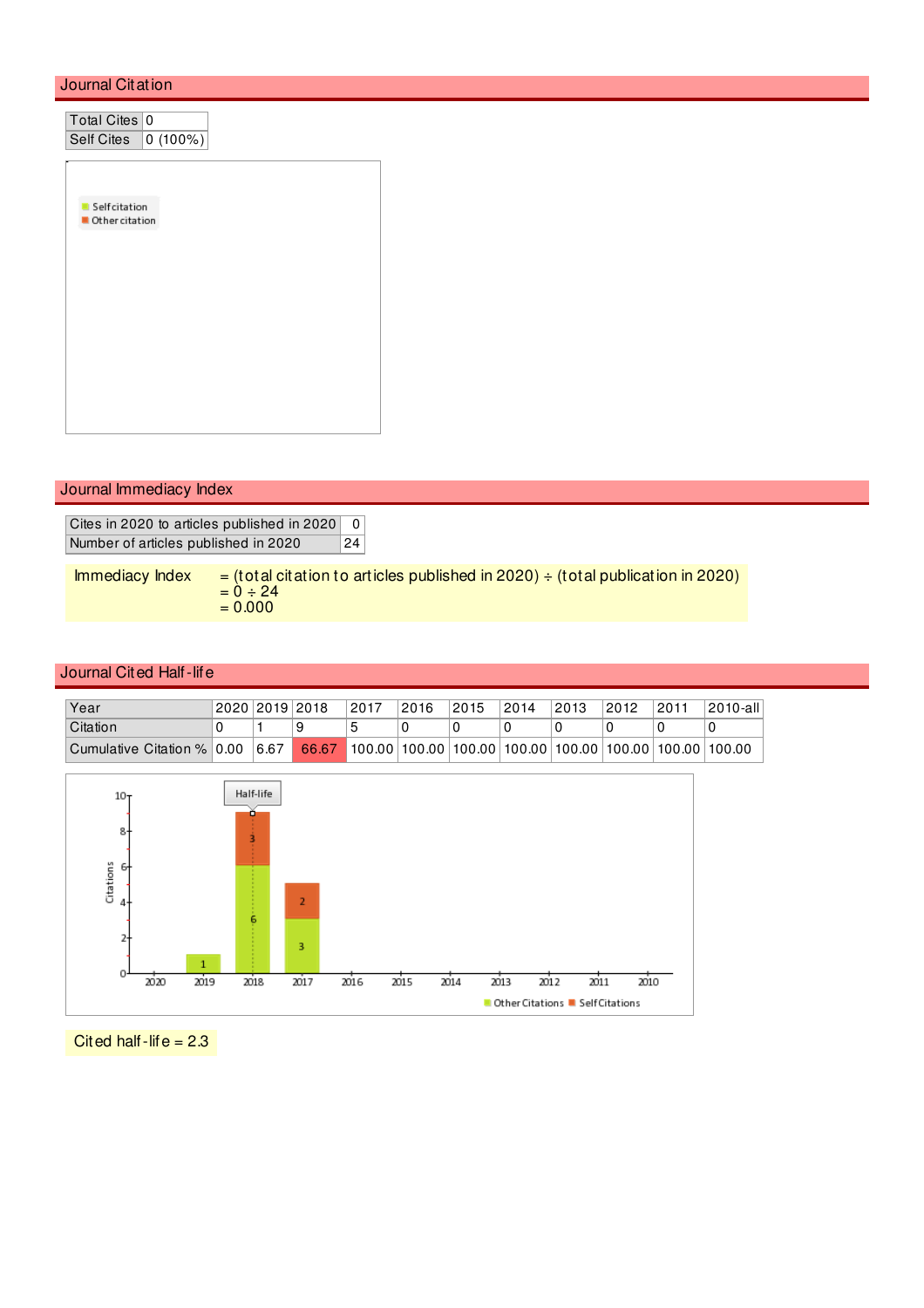### Journal Citation

| Total Cites 0  |         |
|----------------|---------|
| Self Cites     | 0(100%) |
|                |         |
|                |         |
| Selfcitation   |         |
| Other citation |         |
|                |         |
|                |         |
|                |         |
|                |         |
|                |         |
|                |         |
|                |         |
|                |         |
|                |         |

### Journal Immediacy Index

Cites in 2020 to articles published in 2020 0 Number of articles published in 2020 24

Immediacy Index  $=$  (total citation to articles published in 2020)  $\div$  (total publication in 2020)  $= 0 \div 24$  $= 0.000$ 

#### Journal Cited Half-life

| Year                       | 2020 2019 2018 | 2017                                                                            | 2016 | 2015 | 2014 | 2013 | 2012 | 2011 | 2010-all |
|----------------------------|----------------|---------------------------------------------------------------------------------|------|------|------|------|------|------|----------|
| Citation                   |                |                                                                                 |      |      |      |      |      |      |          |
| Cumulative Citation % 0.00 | 6.67           | $66.67$   100.00   100.00   100.00   100.00   100.00   100.00   100.00   100.00 |      |      |      |      |      |      |          |



Cited half-life  $= 2.3$